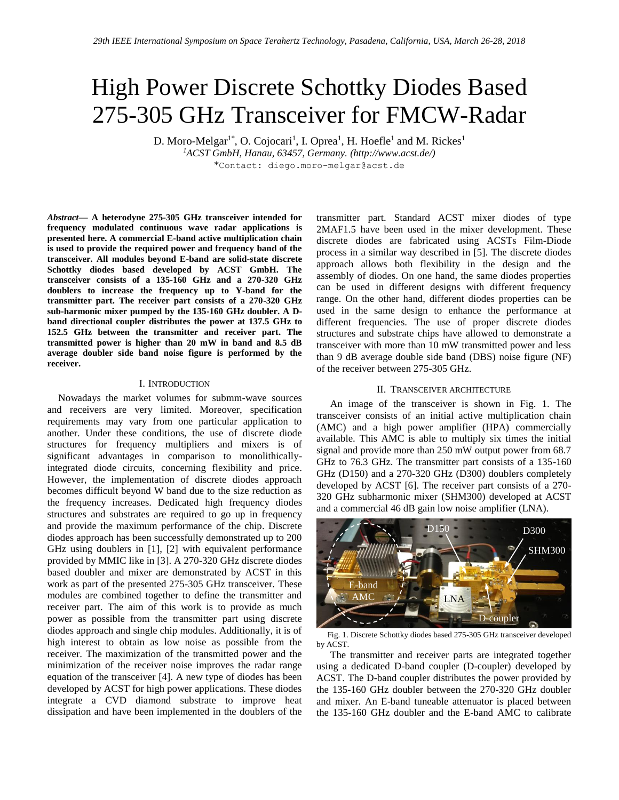# High Power Discrete Schottky Diodes Based 275-305 GHz Transceiver for FMCW-Radar

D. Moro-Melgar<sup>1\*</sup>, O. Cojocari<sup>1</sup>, I. Oprea<sup>1</sup>, H. Hoefle<sup>1</sup> and M. Rickes<sup>1</sup>

*<sup>1</sup>ACST GmbH, Hanau, 63457, Germany. (http://www.acst.de/)* \*Contact: diego.moro-melgar@acst.de

*Abstract***— A heterodyne 275-305 GHz transceiver intended for frequency modulated continuous wave radar applications is presented here. A commercial E-band active multiplication chain is used to provide the required power and frequency band of the transceiver. All modules beyond E-band are solid-state discrete Schottky diodes based developed by ACST GmbH. The transceiver consists of a 135-160 GHz and a 270-320 GHz doublers to increase the frequency up to Y-band for the transmitter part. The receiver part consists of a 270-320 GHz sub-harmonic mixer pumped by the 135-160 GHz doubler. A Dband directional coupler distributes the power at 137.5 GHz to 152.5 GHz between the transmitter and receiver part. The transmitted power is higher than 20 mW in band and 8.5 dB average doubler side band noise figure is performed by the receiver.**

## I. INTRODUCTION

Nowadays the market volumes for submm-wave sources and receivers are very limited. Moreover, specification requirements may vary from one particular application to another. Under these conditions, the use of discrete diode structures for frequency multipliers and mixers is of significant advantages in comparison to monolithicallyintegrated diode circuits, concerning flexibility and price. However, the implementation of discrete diodes approach becomes difficult beyond W band due to the size reduction as the frequency increases. Dedicated high frequency diodes structures and substrates are required to go up in frequency and provide the maximum performance of the chip. Discrete diodes approach has been successfully demonstrated up to 200 GHz using doublers in [1], [2] with equivalent performance provided by MMIC like in [3]. A 270-320 GHz discrete diodes based doubler and mixer are demonstrated by ACST in this work as part of the presented 275-305 GHz transceiver. These modules are combined together to define the transmitter and receiver part. The aim of this work is to provide as much power as possible from the transmitter part using discrete diodes approach and single chip modules. Additionally, it is of high interest to obtain as low noise as possible from the receiver. The maximization of the transmitted power and the minimization of the receiver noise improves the radar range equation of the transceiver [4]. A new type of diodes has been developed by ACST for high power applications. These diodes integrate a CVD diamond substrate to improve heat dissipation and have been implemented in the doublers of the transmitter part. Standard ACST mixer diodes of type 2MAF1.5 have been used in the mixer development. These discrete diodes are fabricated using ACSTs Film-Diode process in a similar way described in [5]. The discrete diodes approach allows both flexibility in the design and the assembly of diodes. On one hand, the same diodes properties can be used in different designs with different frequency range. On the other hand, different diodes properties can be used in the same design to enhance the performance at different frequencies. The use of proper discrete diodes structures and substrate chips have allowed to demonstrate a transceiver with more than 10 mW transmitted power and less than 9 dB average double side band (DBS) noise figure (NF) of the receiver between 275-305 GHz.

#### II. TRANSCEIVER ARCHITECTURE

An image of the transceiver is shown in Fig. 1. The transceiver consists of an initial active multiplication chain (AMC) and a high power amplifier (HPA) commercially available. This AMC is able to multiply six times the initial signal and provide more than 250 mW output power from 68.7 GHz to 76.3 GHz. The transmitter part consists of a 135-160 GHz (D150) and a 270-320 GHz (D300) doublers completely developed by ACST [6]. The receiver part consists of a 270- 320 GHz subharmonic mixer (SHM300) developed at ACST and a commercial 46 dB gain low noise amplifier (LNA).



Fig. 1. Discrete Schottky diodes based 275-305 GHz transceiver developed by ACST.

The transmitter and receiver parts are integrated together using a dedicated D-band coupler (D-coupler) developed by ACST. The D-band coupler distributes the power provided by the 135-160 GHz doubler between the 270-320 GHz doubler and mixer. An E-band tuneable attenuator is placed between the 135-160 GHz doubler and the E-band AMC to calibrate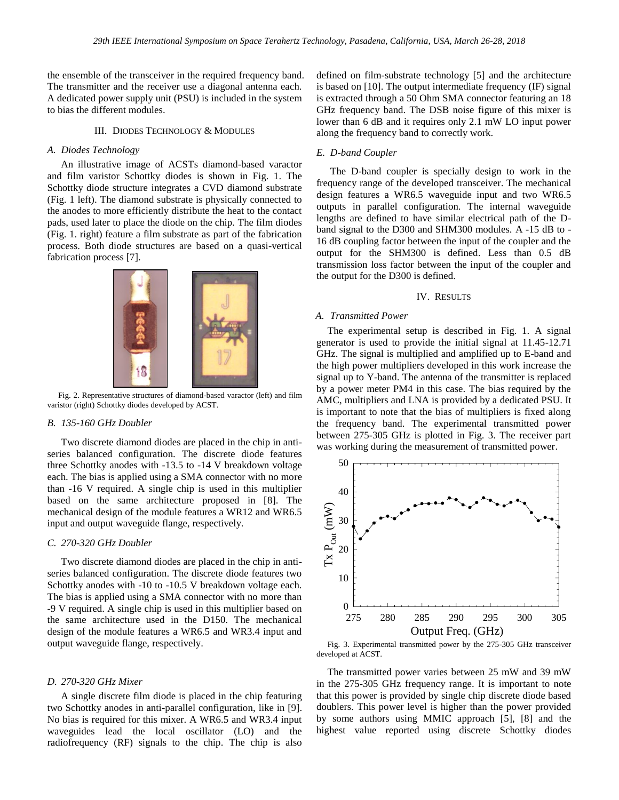the ensemble of the transceiver in the required frequency band. The transmitter and the receiver use a diagonal antenna each. A dedicated power supply unit (PSU) is included in the system to bias the different modules.

#### III. DIODES TECHNOLOGY & MODULES

## *A. Diodes Technology*

An illustrative image of ACSTs diamond-based varactor and film varistor Schottky diodes is shown in Fig. 1. The Schottky diode structure integrates a CVD diamond substrate (Fig. 1 left). The diamond substrate is physically connected to the anodes to more efficiently distribute the heat to the contact pads, used later to place the diode on the chip. The film diodes (Fig. 1. right) feature a film substrate as part of the fabrication process. Both diode structures are based on a quasi-vertical fabrication process [7].



Fig. 2. Representative structures of diamond-based varactor (left) and film varistor (right) Schottky diodes developed by ACST.

#### *B. 135-160 GHz Doubler*

Two discrete diamond diodes are placed in the chip in antiseries balanced configuration. The discrete diode features three Schottky anodes with -13.5 to -14 V breakdown voltage each. The bias is applied using a SMA connector with no more than -16 V required. A single chip is used in this multiplier based on the same architecture proposed in [8]. The mechanical design of the module features a WR12 and WR6.5 input and output waveguide flange, respectively.

#### *C. 270-320 GHz Doubler*

Two discrete diamond diodes are placed in the chip in antiseries balanced configuration. The discrete diode features two Schottky anodes with -10 to -10.5 V breakdown voltage each. The bias is applied using a SMA connector with no more than -9 V required. A single chip is used in this multiplier based on the same architecture used in the D150. The mechanical design of the module features a WR6.5 and WR3.4 input and output waveguide flange, respectively.

#### *D. 270-320 GHz Mixer*

A single discrete film diode is placed in the chip featuring two Schottky anodes in anti-parallel configuration, like in [9]. No bias is required for this mixer. A WR6.5 and WR3.4 input waveguides lead the local oscillator (LO) and the radiofrequency (RF) signals to the chip. The chip is also

defined on film-substrate technology [5] and the architecture is based on [10]. The output intermediate frequency (IF) signal is extracted through a 50 Ohm SMA connector featuring an 18 GHz frequency band. The DSB noise figure of this mixer is lower than 6 dB and it requires only 2.1 mW LO input power along the frequency band to correctly work.

## *E. D-band Coupler*

The D-band coupler is specially design to work in the frequency range of the developed transceiver. The mechanical design features a WR6.5 waveguide input and two WR6.5 outputs in parallel configuration. The internal waveguide lengths are defined to have similar electrical path of the Dband signal to the D300 and SHM300 modules. A -15 dB to - 16 dB coupling factor between the input of the coupler and the output for the SHM300 is defined. Less than 0.5 dB transmission loss factor between the input of the coupler and the output for the D300 is defined.

#### IV. RESULTS

#### *A. Transmitted Power*

The experimental setup is described in Fig. 1. A signal generator is used to provide the initial signal at 11.45-12.71 GHz. The signal is multiplied and amplified up to E-band and the high power multipliers developed in this work increase the signal up to Y-band. The antenna of the transmitter is replaced by a power meter PM4 in this case. The bias required by the AMC, multipliers and LNA is provided by a dedicated PSU. It is important to note that the bias of multipliers is fixed along the frequency band. The experimental transmitted power between 275-305 GHz is plotted in Fig. 3. The receiver part was working during the measurement of transmitted power.



Fig. 3. Experimental transmitted power by the 275-305 GHz transceiver developed at ACST.

The transmitted power varies between 25 mW and 39 mW in the 275-305 GHz frequency range. It is important to note that this power is provided by single chip discrete diode based doublers. This power level is higher than the power provided by some authors using MMIC approach [5], [8] and the highest value reported using discrete Schottky diodes